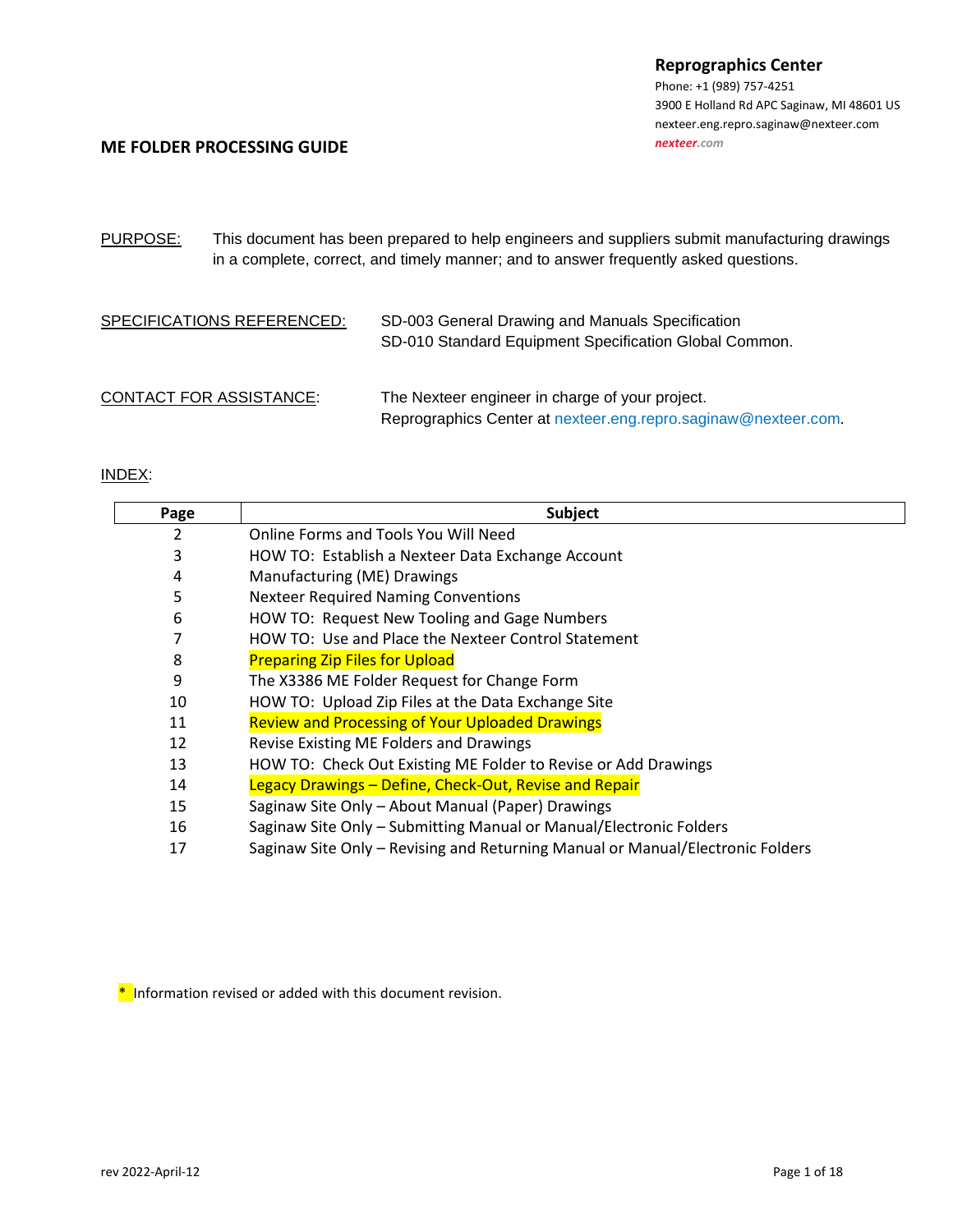Phone: +1 (989) 757-4251 3900 E Holland Rd [APC Saginaw, MI 48601](http://maps.google.com/maps?q=3900+E+Holland+Rd+Saginaw,+MI+48601-9494) US nexteer.eng.repro.saginaw@nexteer.com *[nexteer.com](http://www.nexteer.com/)*

#### **ME FOLDER PROCESSING GUIDE**

PURPOSE: This document has been prepared to help engineers and suppliers submit manufacturing drawings in a complete, correct, and timely manner; and to answer frequently asked questions.

| SPECIFICATIONS REFERENCED:     | SD-003 General Drawing and Manuals Specification<br>SD-010 Standard Equipment Specification Global Common.        |
|--------------------------------|-------------------------------------------------------------------------------------------------------------------|
| <b>CONTACT FOR ASSISTANCE:</b> | The Nexteer engineer in charge of your project.<br>Reprographics Center at nexteer.eng.repro.saginaw@nexteer.com. |

#### INDEX:

| Page | <b>Subject</b>                                                                 |
|------|--------------------------------------------------------------------------------|
| 2    | Online Forms and Tools You Will Need                                           |
| 3    | HOW TO: Establish a Nexteer Data Exchange Account                              |
| 4    | Manufacturing (ME) Drawings                                                    |
| 5    | <b>Nexteer Required Naming Conventions</b>                                     |
| 6    | HOW TO: Request New Tooling and Gage Numbers                                   |
|      | HOW TO: Use and Place the Nexteer Control Statement                            |
| 8    | <b>Preparing Zip Files for Upload</b>                                          |
| 9    | The X3386 ME Folder Request for Change Form                                    |
| 10   | HOW TO: Upload Zip Files at the Data Exchange Site                             |
| 11   | <b>Review and Processing of Your Uploaded Drawings</b>                         |
| 12   | Revise Existing ME Folders and Drawings                                        |
| 13   | HOW TO: Check Out Existing ME Folder to Revise or Add Drawings                 |
| 14   | Legacy Drawings - Define, Check-Out, Revise and Repair                         |
| 15   | Saginaw Site Only - About Manual (Paper) Drawings                              |
| 16   | Saginaw Site Only - Submitting Manual or Manual/Electronic Folders             |
| 17   | Saginaw Site Only - Revising and Returning Manual or Manual/Electronic Folders |

\* Information revised or added with this document revision.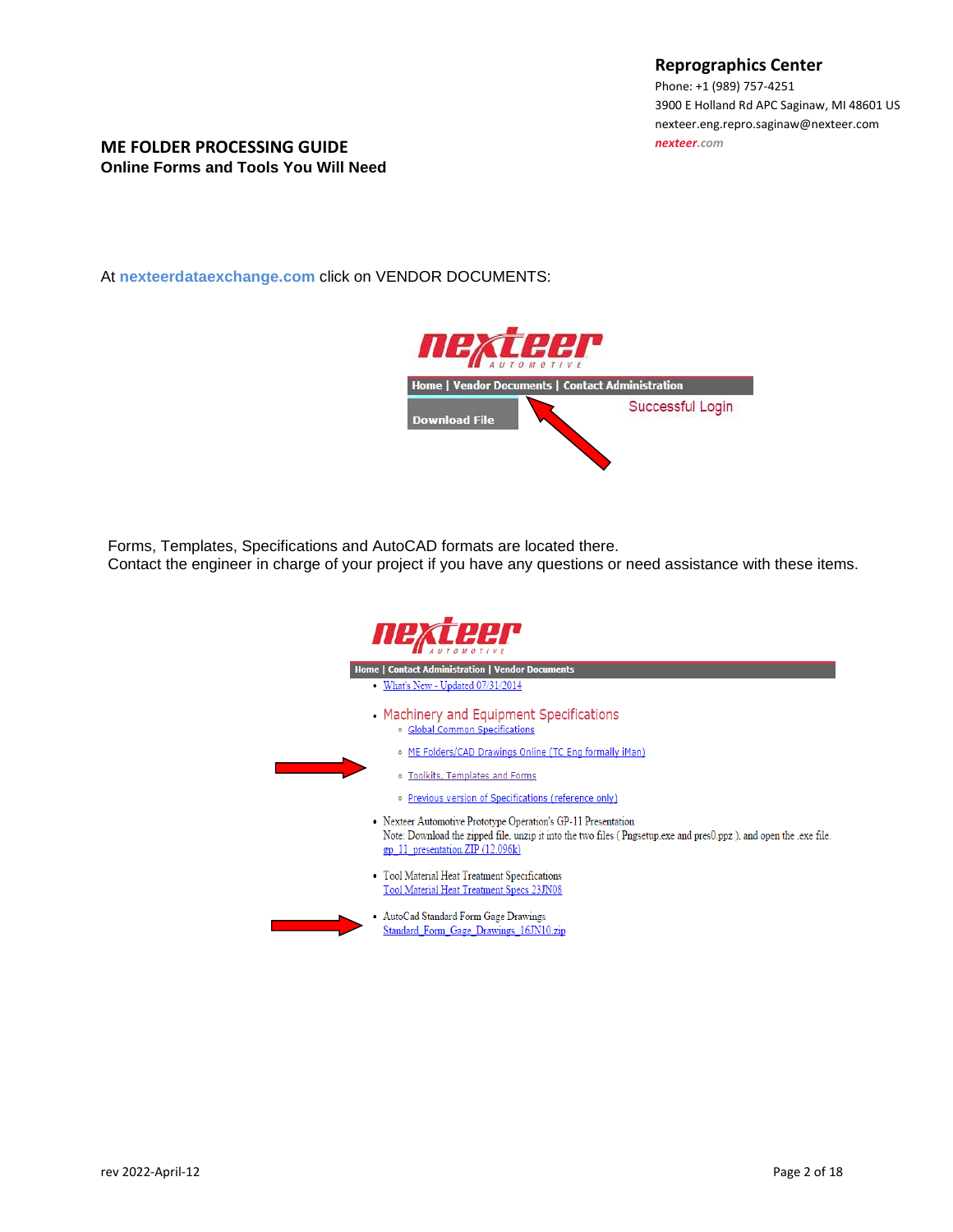Phone: +1 (989) 757-4251 3900 E Holland Rd [APC Saginaw, MI 48601](http://maps.google.com/maps?q=3900+E+Holland+Rd+Saginaw,+MI+48601-9494) US nexteer.eng.repro.saginaw@nexteer.com *[nexteer.com](http://www.nexteer.com/)*

#### **ME FOLDER PROCESSING GUIDE Online Forms and Tools You Will Need**

At **nexteerdataexchange.com** click on VENDOR DOCUMENTS:



Forms, Templates, Specifications and AutoCAD formats are located there.

Contact the engineer in charge of your project if you have any questions or need assistance with these items.

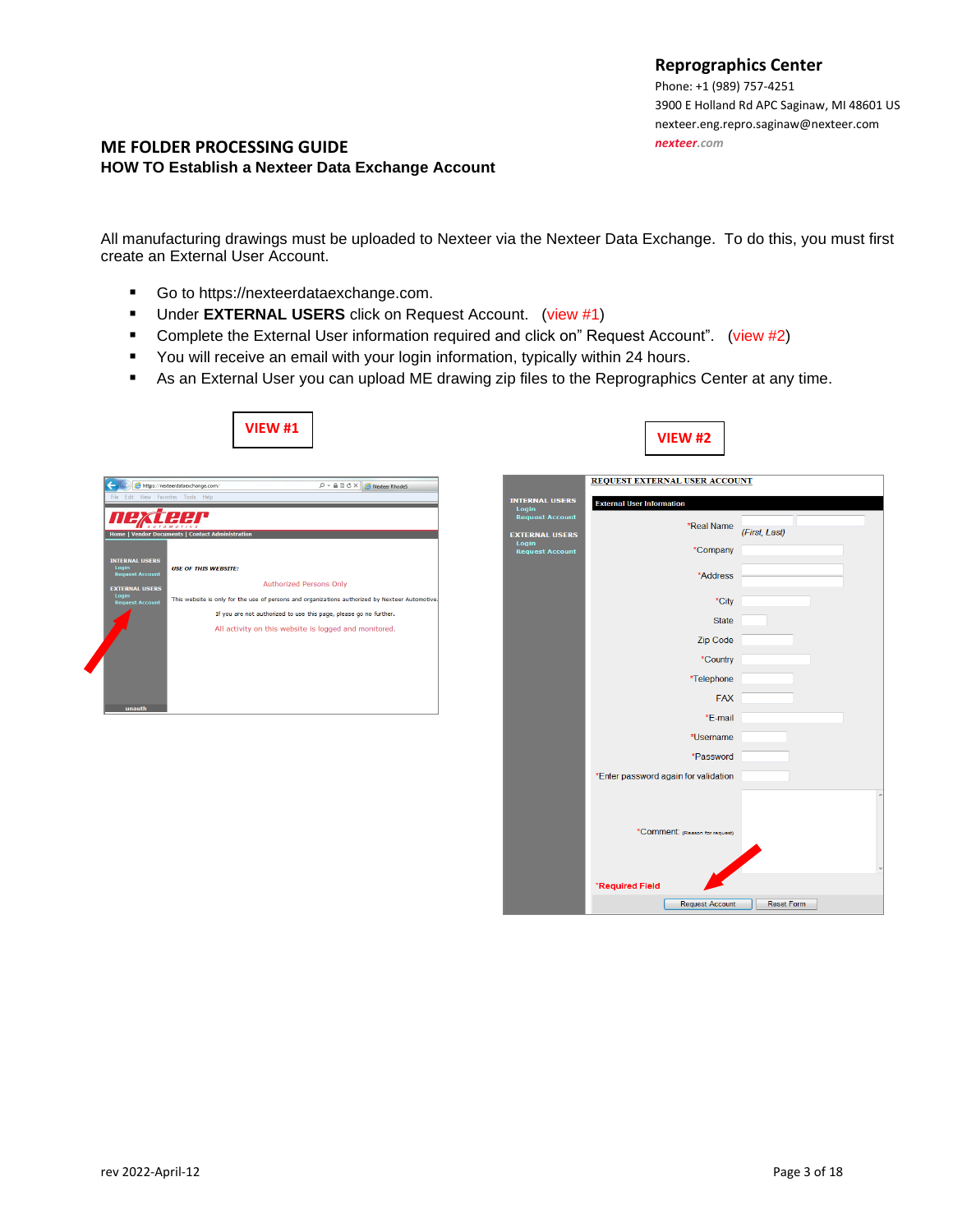Phone: +1 (989) 757-4251 3900 E Holland Rd [APC Saginaw, MI 48601](http://maps.google.com/maps?q=3900+E+Holland+Rd+Saginaw,+MI+48601-9494) US nexteer.eng.repro.saginaw@nexteer.com *[nexteer.com](http://www.nexteer.com/)*

## **ME FOLDER PROCESSING GUIDE HOW TO Establish a Nexteer Data Exchange Account**

All manufacturing drawings must be uploaded to Nexteer via the Nexteer Data Exchange. To do this, you must first create an External User Account.

- Go to https://nexteerdataexchange.com.
- Under **EXTERNAL USERS** click on Request Account. (view #1)
- Complete the External User information required and click on" Request Account". (view #2)
- You will receive an email with your login information, typically within 24 hours.
- As an External User you can upload ME drawing zip files to the Reprographics Center at any time.



|                                                 | REQUEST EXTERNAL USER ACCOUNT        |                      |
|-------------------------------------------------|--------------------------------------|----------------------|
| <b>INTERNAL USERS</b><br>Login                  | <b>External User Information</b>     |                      |
| <b>Request Account</b><br><b>EXTERNAL USERS</b> | *Real Name                           | (First, Last)        |
| Login<br><b>Request Account</b>                 | *Company                             |                      |
|                                                 | *Address                             |                      |
|                                                 | *City                                |                      |
|                                                 | <b>State</b>                         |                      |
|                                                 | Zip Code                             |                      |
|                                                 | *Country                             |                      |
|                                                 | *Telephone                           |                      |
|                                                 | <b>FAX</b>                           |                      |
|                                                 | *F-mail<br>*Username                 |                      |
|                                                 | *Password                            |                      |
|                                                 | *Enter password again for validation |                      |
|                                                 |                                      |                      |
|                                                 |                                      |                      |
|                                                 | *Comment: (Reason for request)       |                      |
|                                                 |                                      |                      |
|                                                 | *Required Field                      | $\blacktriangledown$ |
|                                                 | <b>Request Account</b>               | Reset Form           |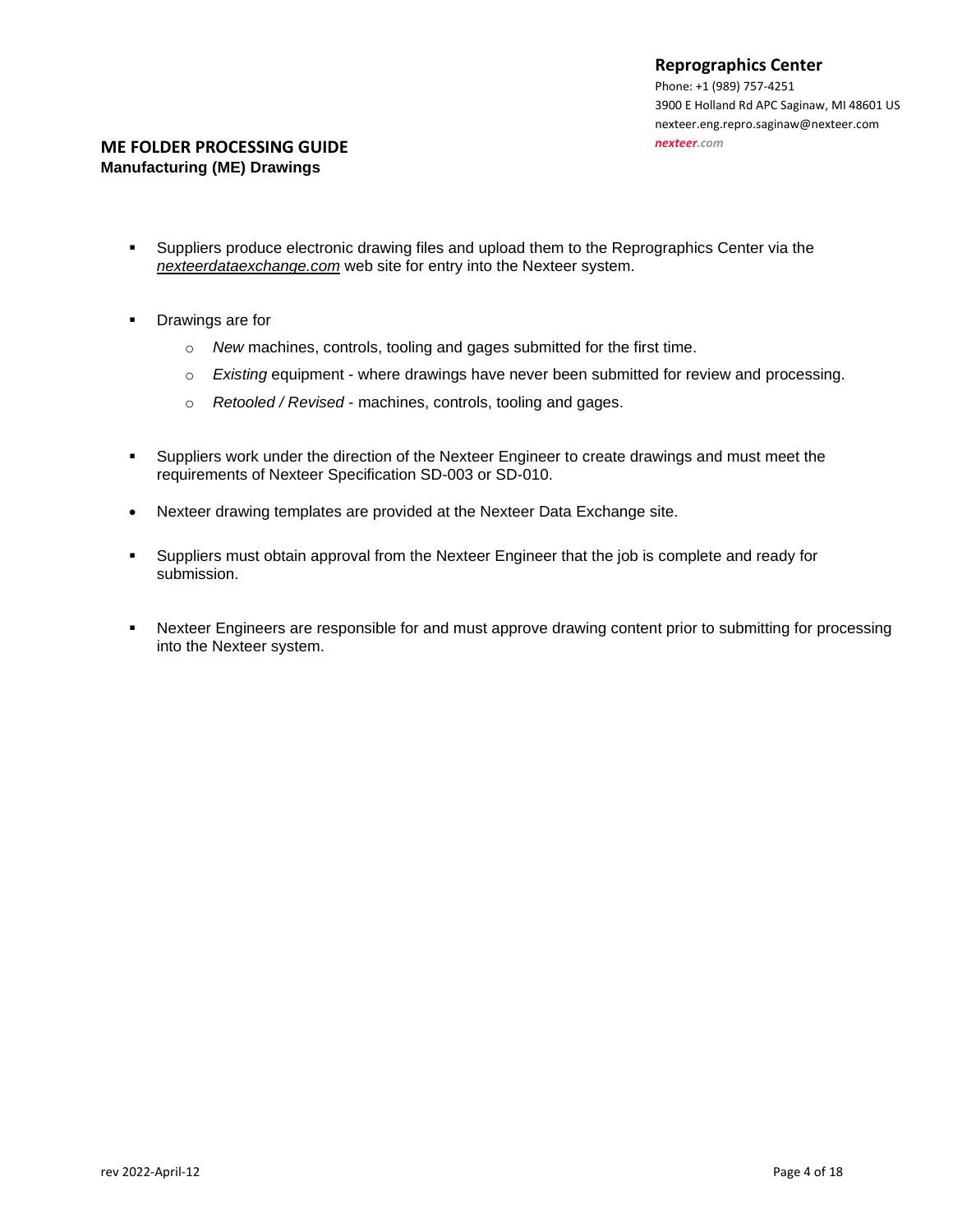## **ME FOLDER PROCESSING GUIDE Manufacturing (ME) Drawings**

- Suppliers produce electronic drawing files and upload them to the Reprographics Center via the *nexteerdataexchange.com* web site for entry into the Nexteer system.
- Drawings are for
	- o *New* machines, controls, tooling and gages submitted for the first time.
	- o *Existing* equipment where drawings have never been submitted for review and processing.
	- o *Retooled / Revised* machines, controls, tooling and gages.
- Suppliers work under the direction of the Nexteer Engineer to create drawings and must meet the requirements of Nexteer Specification SD-003 or SD-010.
- Nexteer drawing templates are provided at the Nexteer Data Exchange site.
- Suppliers must obtain approval from the Nexteer Engineer that the job is complete and ready for submission.
- Nexteer Engineers are responsible for and must approve drawing content prior to submitting for processing into the Nexteer system.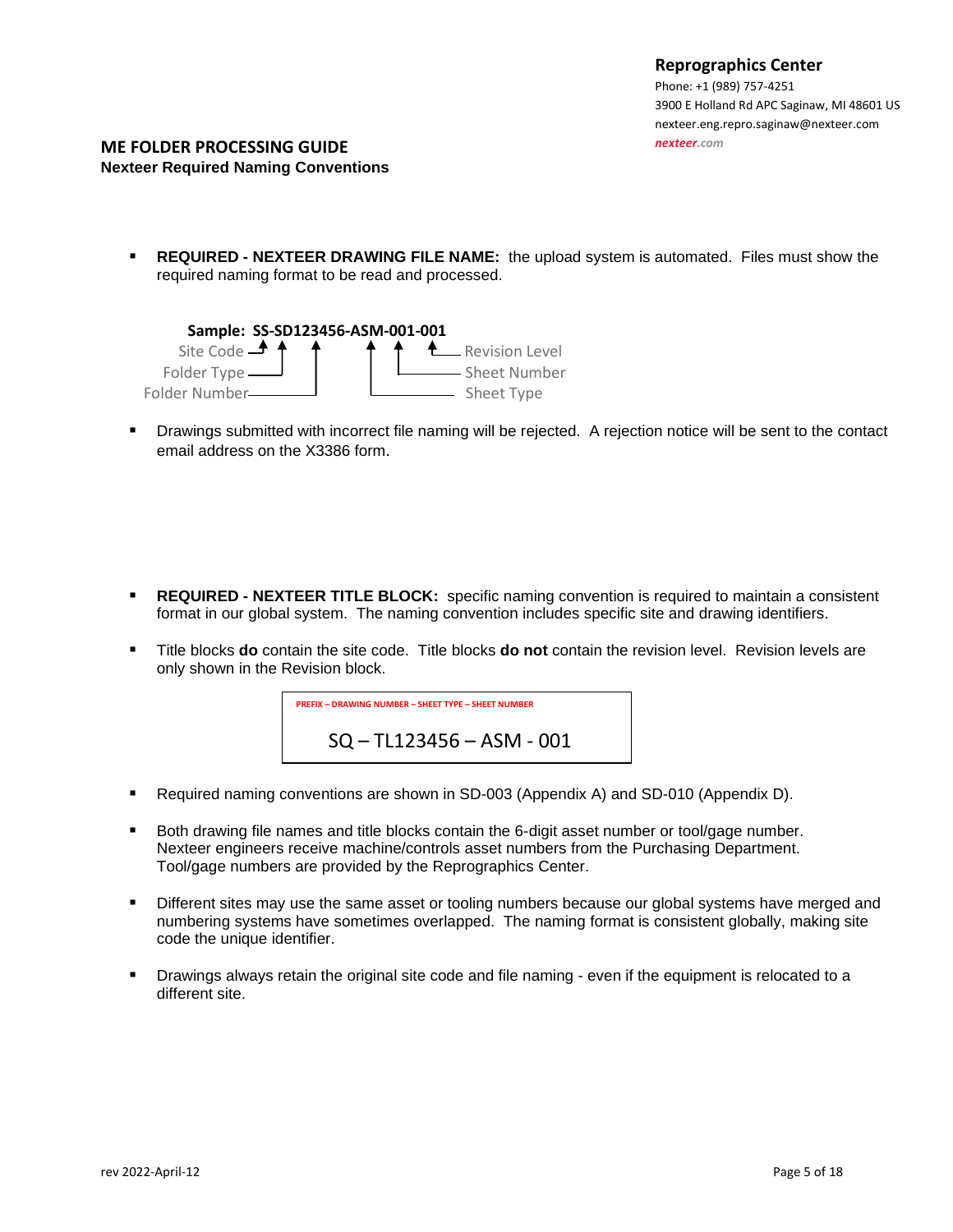#### **ME FOLDER PROCESSING GUIDE Nexteer Required Naming Conventions**

▪ **REQUIRED - NEXTEER DRAWING FILE NAME:** the upload system is automated. Files must show the required naming format to be read and processed.



▪ Drawings submitted with incorrect file naming will be rejected. A rejection notice will be sent to the contact email address on the X3386 form.

- **REQUIRED - NEXTEER TITLE BLOCK:** specific naming convention is required to maintain a consistent format in our global system. The naming convention includes specific site and drawing identifiers.
- Title blocks **do** contain the site code. Title blocks **do not** contain the revision level. Revision levels are only shown in the Revision block.



- Required naming conventions are shown in SD-003 (Appendix A) and SD-010 (Appendix D).
- Both drawing file names and title blocks contain the 6-digit asset number or tool/gage number. Nexteer engineers receive machine/controls asset numbers from the Purchasing Department. Tool/gage numbers are provided by the Reprographics Center.
- **EXECTED 10** Different sites may use the same asset or tooling numbers because our global systems have merged and numbering systems have sometimes overlapped. The naming format is consistent globally, making site code the unique identifier.
- Drawings always retain the original site code and file naming even if the equipment is relocated to a different site.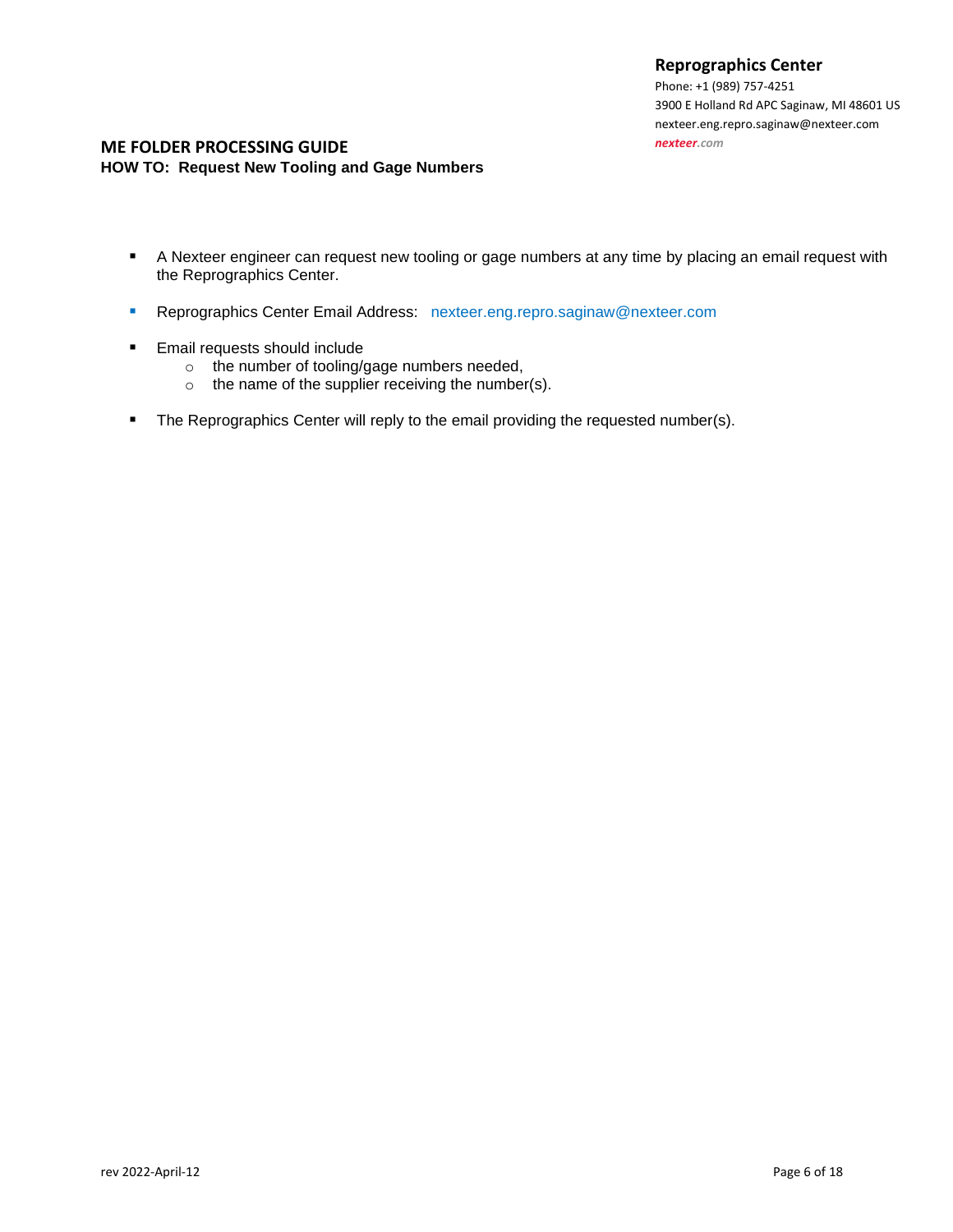Phone: +1 (989) 757-4251 3900 E Holland Rd [APC Saginaw, MI 48601](http://maps.google.com/maps?q=3900+E+Holland+Rd+Saginaw,+MI+48601-9494) US nexteer.eng.repro.saginaw@nexteer.com *[nexteer.com](http://www.nexteer.com/)*

## **ME FOLDER PROCESSING GUIDE HOW TO: Request New Tooling and Gage Numbers**

- A Nexteer engineer can request new tooling or gage numbers at any time by placing an email request with the Reprographics Center.
- **E** Reprographics Center Email Address: nexteer.eng.repro.saginaw@nexteer.com
- Email requests should include
	- o the number of tooling/gage numbers needed,
	- o the name of the supplier receiving the number(s).
- The Reprographics Center will reply to the email providing the requested number(s).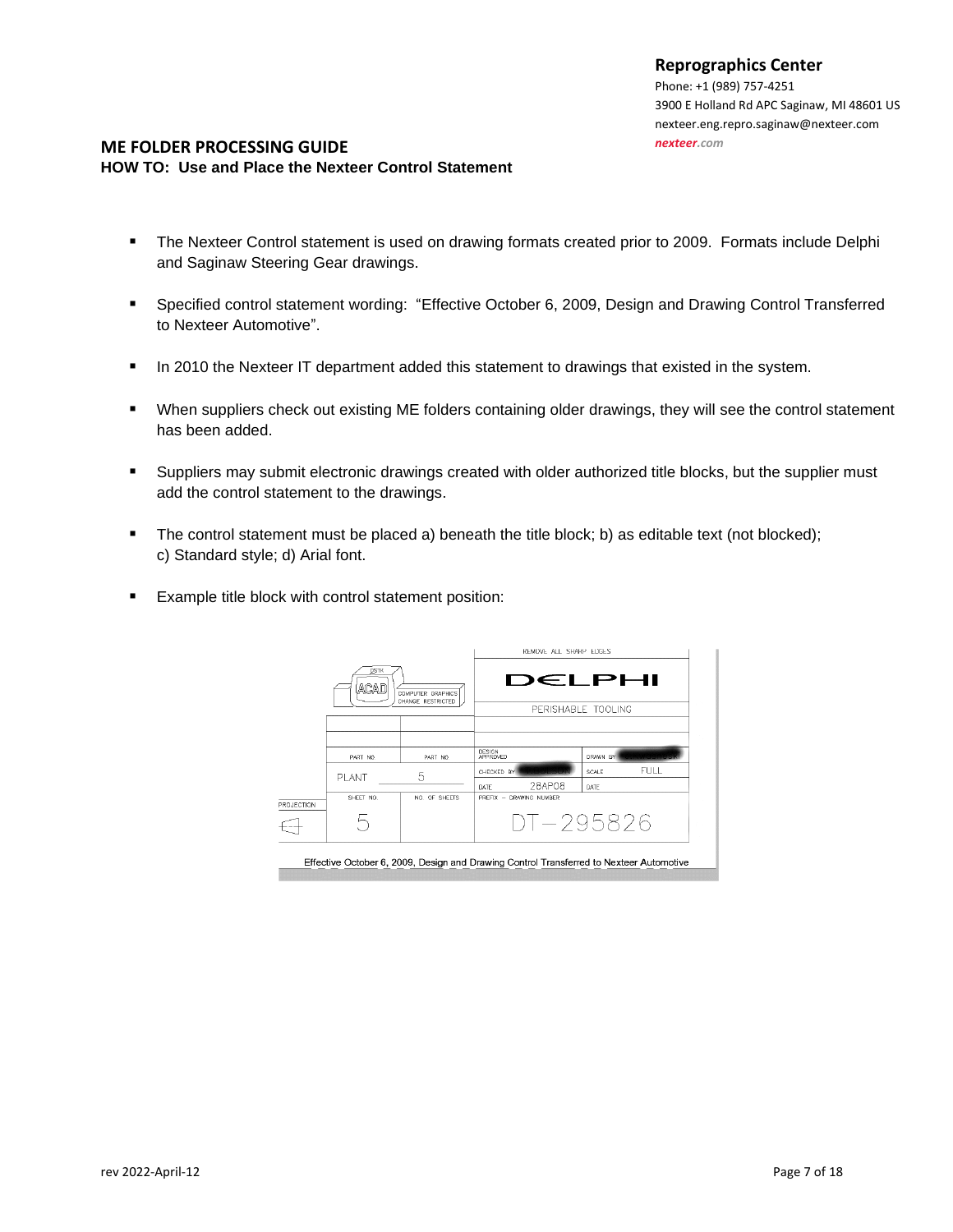Phone: +1 (989) 757-4251 3900 E Holland Rd [APC Saginaw, MI 48601](http://maps.google.com/maps?q=3900+E+Holland+Rd+Saginaw,+MI+48601-9494) US nexteer.eng.repro.saginaw@nexteer.com *[nexteer.com](http://www.nexteer.com/)*

#### **ME FOLDER PROCESSING GUIDE HOW TO: Use and Place the Nexteer Control Statement**

- **•** The Nexteer Control statement is used on drawing formats created prior to 2009. Formats include Delphi and Saginaw Steering Gear drawings.
- Specified control statement wording: "Effective October 6, 2009, Design and Drawing Control Transferred to Nexteer Automotive".
- **■** In 2010 the Nexteer IT department added this statement to drawings that existed in the system.
- When suppliers check out existing ME folders containing older drawings, they will see the control statement has been added.
- Suppliers may submit electronic drawings created with older authorized title blocks, but the supplier must add the control statement to the drawings.
- The control statement must be placed a) beneath the title block; b) as editable text (not blocked); c) Standard style; d) Arial font.
- Example title block with control statement position:

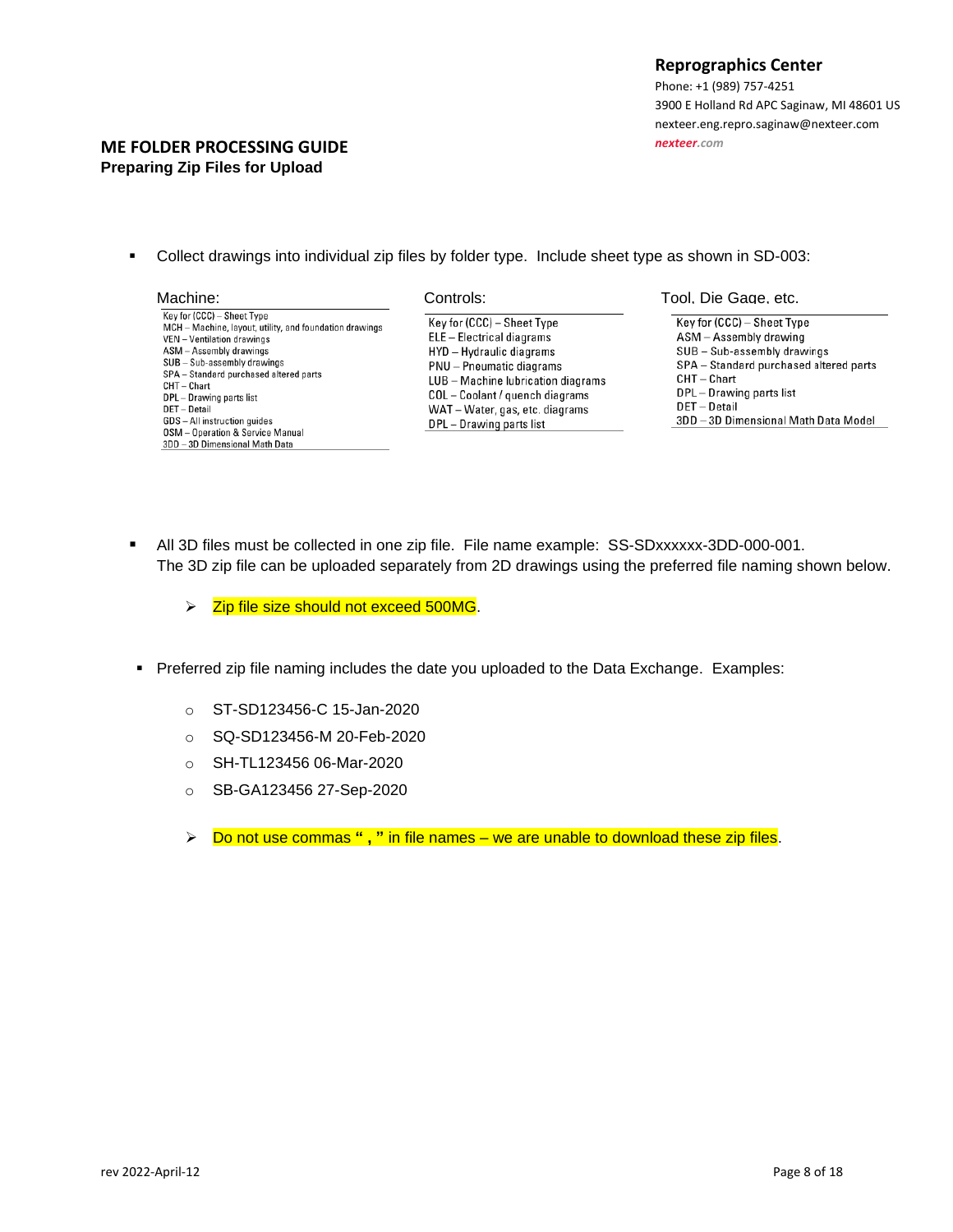#### **ME FOLDER PROCESSING GUIDE Preparing Zip Files for Upload**

▪ Collect drawings into individual zip files by folder type. Include sheet type as shown in SD-003:

- Key for (CCC) Sheet Type MCH - Machine, layout, utility, and foundation drawings VEN - Ventilation drawings ASM - Assembly drawings SUB - Sub-assembly drawings SPA - Standard purchased altered parts  $CHT - Chart$ DPL - Drawing parts list DET-Detail GDS - All instruction quides **OSM** - Operation & Service Manual 3DD - 3D Dimensional Math Data
- Key for (CCC) Sheet Type ELE - Electrical diagrams HYD - Hydraulic diagrams PNU - Pneumatic diagrams LUB - Machine lubrication diagrams COL-Coolant / quench diagrams WAT - Water, gas, etc. diagrams DPL - Drawing parts list

#### Machine: Controls: Tool, Die Gage, etc.

Key for (CCC) - Sheet Type ASM - Assembly drawing  $SUB - Sub-assembly$  drawings SPA - Standard purchased altered parts  $CHT - Chart$ DPL - Drawing parts list DET-Detail

- 3DD 3D Dimensional Math Data Model
- All 3D files must be collected in one zip file. File name example: SS-SDxxxxxx-3DD-000-001. The 3D zip file can be uploaded separately from 2D drawings using the preferred file naming shown below.
	- ➢ Zip file size should not exceed 500MG.
- Preferred zip file naming includes the date you uploaded to the Data Exchange. Examples:
	- o ST-SD123456-C 15-Jan-2020
	- o SQ-SD123456-M 20-Feb-2020
	- o SH-TL123456 06-Mar-2020
	- o SB-GA123456 27-Sep-2020
	- ➢ Do not use commas **" , "** in file names we are unable to download these zip files.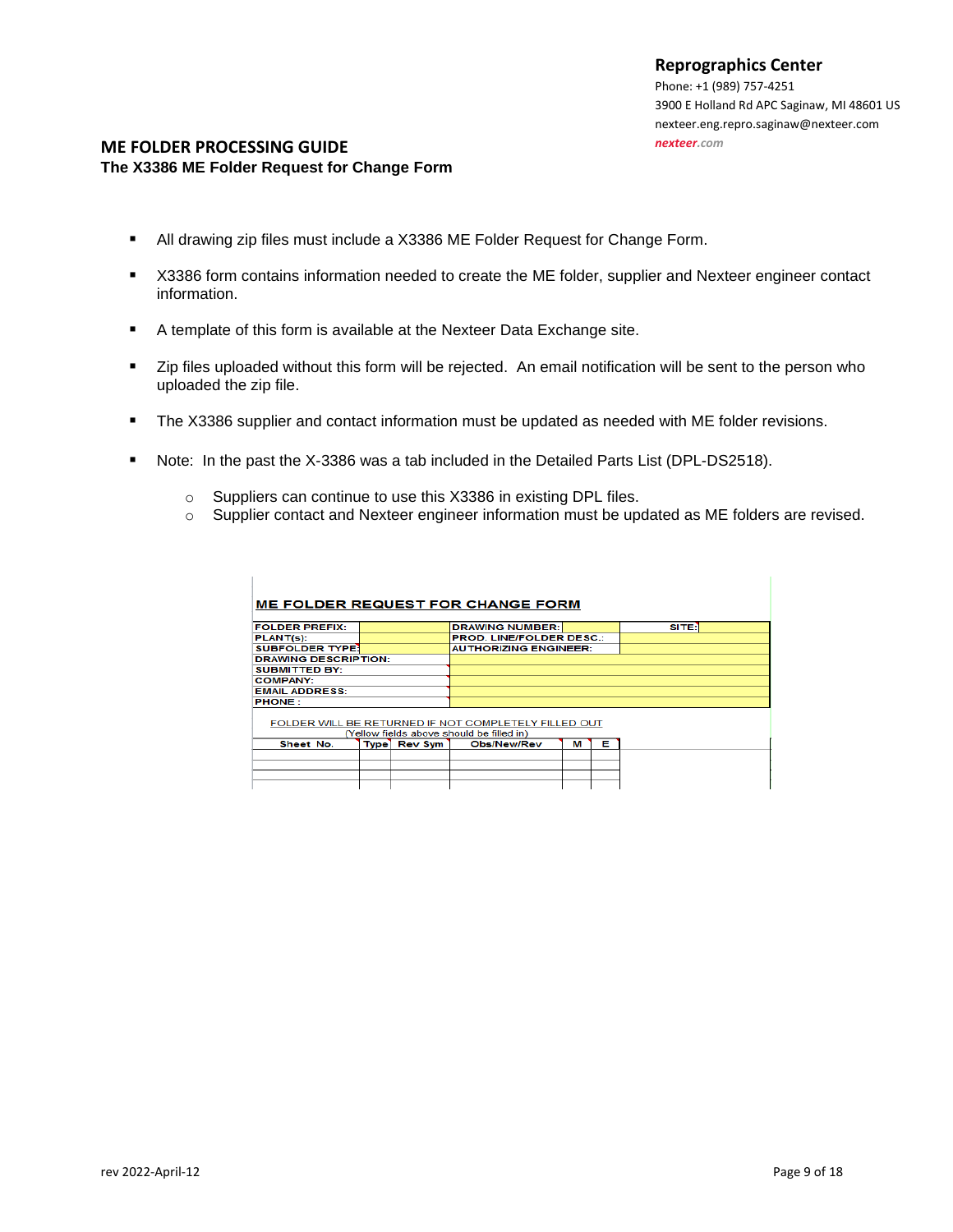#### **ME FOLDER PROCESSING GUIDE The X3386 ME Folder Request for Change Form**

 $\mathbb{I}$ 

- All drawing zip files must include a X3386 ME Folder Request for Change Form.
- X3386 form contains information needed to create the ME folder, supplier and Nexteer engineer contact information.
- A template of this form is available at the Nexteer Data Exchange site.
- Zip files uploaded without this form will be rejected. An email notification will be sent to the person who uploaded the zip file.
- The X3386 supplier and contact information must be updated as needed with ME folder revisions.
- Note: In the past the X-3386 was a tab included in the Detailed Parts List (DPL-DS2518).
	- o Suppliers can continue to use this X3386 in existing DPL files.
	- o Supplier contact and Nexteer engineer information must be updated as ME folders are revised.

| <b>ME FOLDER REQUEST FOR CHANGE FORM</b>                                                          |  |              |                                 |  |   |   |              |
|---------------------------------------------------------------------------------------------------|--|--------------|---------------------------------|--|---|---|--------------|
|                                                                                                   |  |              |                                 |  |   |   |              |
| <b>FOLDER PREFIX:</b>                                                                             |  |              | <b>DRAWING NUMBER:</b>          |  |   |   | <b>SITER</b> |
| PLANT(s):                                                                                         |  |              | <b>PROD. LINE/FOLDER DESC.:</b> |  |   |   |              |
| <b>SUBFOLDER TYPE!</b>                                                                            |  |              | <b>AUTHORIZING ENGINEER:</b>    |  |   |   |              |
| <b>DRAWING DESCRIPTION:</b>                                                                       |  |              |                                 |  |   |   |              |
| <b>SUBMITTED BY:</b>                                                                              |  |              |                                 |  |   |   |              |
| <b>COMPANY:</b>                                                                                   |  |              |                                 |  |   |   |              |
| <b>EMAIL ADDRESS:</b>                                                                             |  |              |                                 |  |   |   |              |
| <b>PHONE:</b>                                                                                     |  |              |                                 |  |   |   |              |
| FOLDER WILL BE RETURNED IF NOT COMPLETELY FILLED OUT<br>(Yellow fields above should be filled in) |  |              |                                 |  |   |   |              |
| Sheet No.                                                                                         |  | Type Rev Sym | <b>Obs/New/Rev</b>              |  | м | Е |              |
|                                                                                                   |  |              |                                 |  |   |   |              |
|                                                                                                   |  |              |                                 |  |   |   |              |
|                                                                                                   |  |              |                                 |  |   |   |              |
|                                                                                                   |  |              |                                 |  |   |   |              |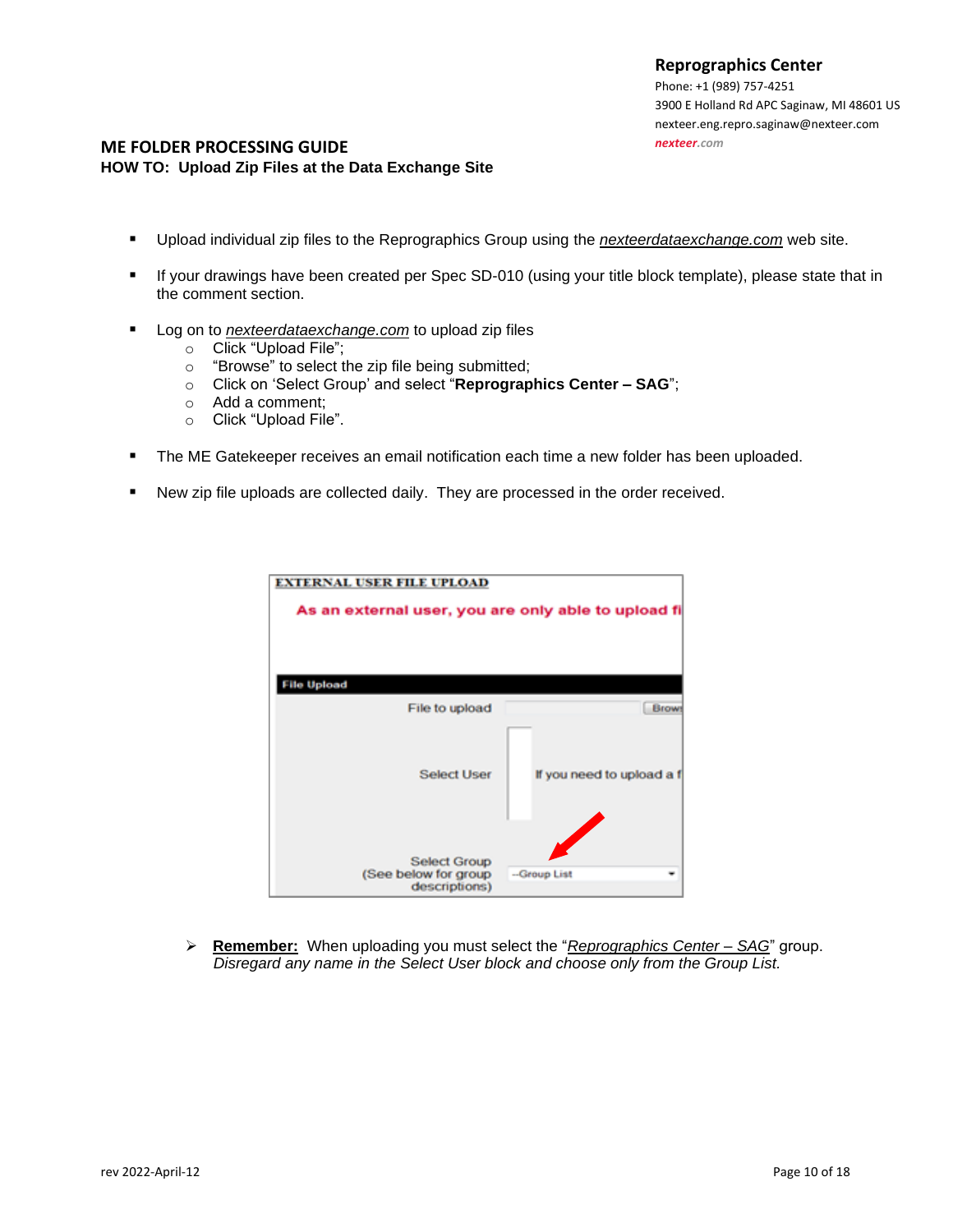Phone: +1 (989) 757-4251 3900 E Holland Rd [APC Saginaw, MI 48601](http://maps.google.com/maps?q=3900+E+Holland+Rd+Saginaw,+MI+48601-9494) US nexteer.eng.repro.saginaw@nexteer.com *[nexteer.com](http://www.nexteer.com/)*

#### **ME FOLDER PROCESSING GUIDE HOW TO: Upload Zip Files at the Data Exchange Site**

- Upload individual zip files to the Reprographics Group using the *nexteerdataexchange.com* web site.
- If your drawings have been created per Spec SD-010 (using your title block template), please state that in the comment section.
- Log on to *nexteerdataexchange.com* to upload zip files
	- o Click "Upload File";
	- o "Browse" to select the zip file being submitted;
	- o Click on 'Select Group' and select "**Reprographics Center – SAG**";
	- o Add a comment;
	- o Click "Upload File".
- The ME Gatekeeper receives an email notification each time a new folder has been uploaded.
- New zip file uploads are collected daily. They are processed in the order received.



➢ **Remember:** When uploading you must select the "*Reprographics Center – SAG*" group. *Disregard any name in the Select User block and choose only from the Group List.*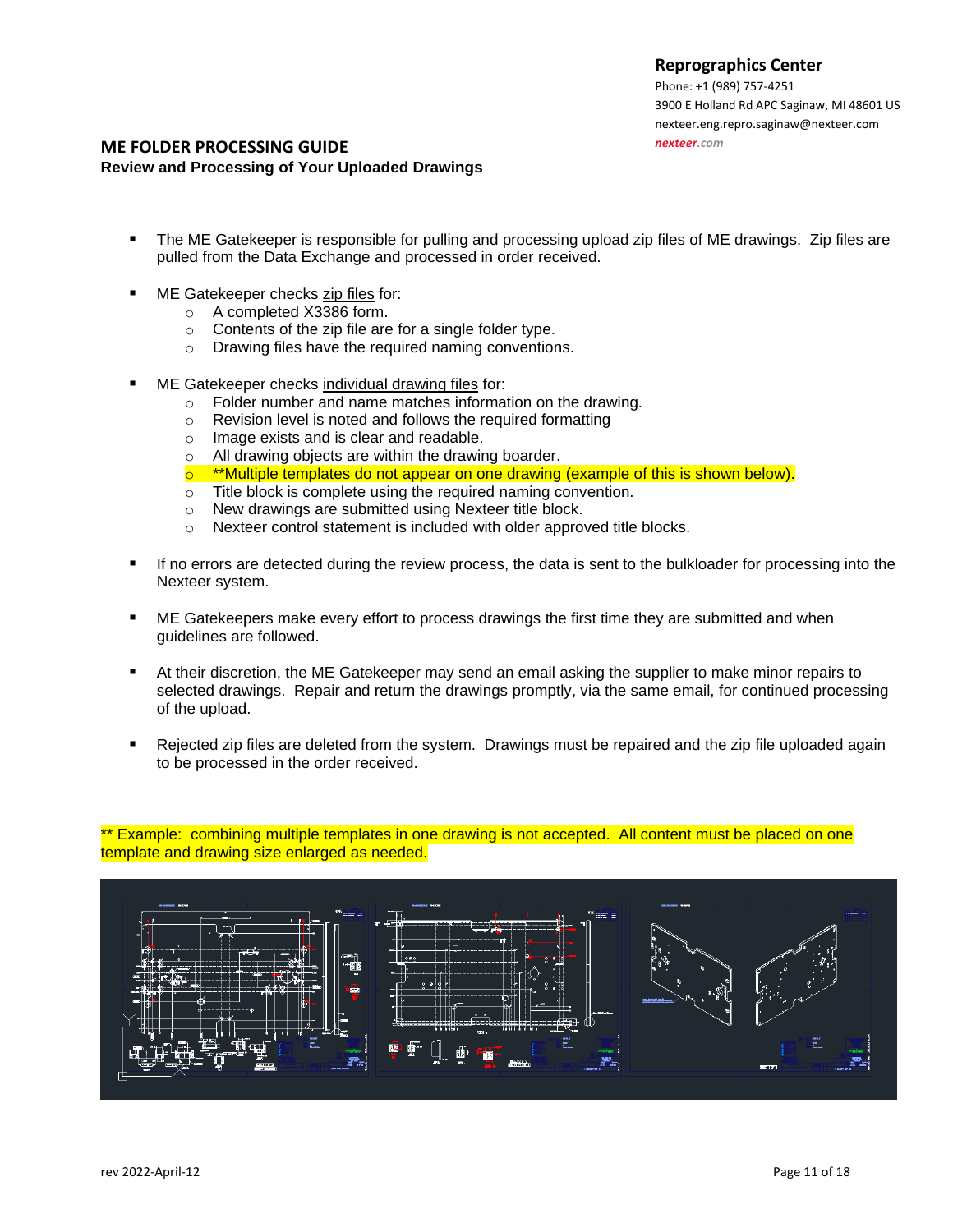Phone: +1 (989) 757-4251 3900 E Holland Rd [APC Saginaw, MI 48601](http://maps.google.com/maps?q=3900+E+Holland+Rd+Saginaw,+MI+48601-9494) US nexteer.eng.repro.saginaw@nexteer.com *[nexteer.com](http://www.nexteer.com/)*

#### **ME FOLDER PROCESSING GUIDE Review and Processing of Your Uploaded Drawings**

- The ME Gatekeeper is responsible for pulling and processing upload zip files of ME drawings. Zip files are pulled from the Data Exchange and processed in order received.
- ME Gatekeeper checks zip files for:
	- o A completed X3386 form.
	- o Contents of the zip file are for a single folder type.
	- o Drawing files have the required naming conventions.
- ME Gatekeeper checks individual drawing files for:
	- o Folder number and name matches information on the drawing.
	- o Revision level is noted and follows the required formatting
	- o Image exists and is clear and readable.
	- o All drawing objects are within the drawing boarder.
	- $\circ$  \*\*Multiple templates do not appear on one drawing (example of this is shown below).
	- o Title block is complete using the required naming convention.
	- o New drawings are submitted using Nexteer title block.
	- o Nexteer control statement is included with older approved title blocks.
- If no errors are detected during the review process, the data is sent to the bulkloader for processing into the Nexteer system.
- ME Gatekeepers make every effort to process drawings the first time they are submitted and when guidelines are followed.
- At their discretion, the ME Gatekeeper may send an email asking the supplier to make minor repairs to selected drawings. Repair and return the drawings promptly, via the same email, for continued processing of the upload.
- Rejected zip files are deleted from the system. Drawings must be repaired and the zip file uploaded again to be processed in the order received.

\*\* Example: combining multiple templates in one drawing is not accepted. All content must be placed on one template and drawing size enlarged as needed.

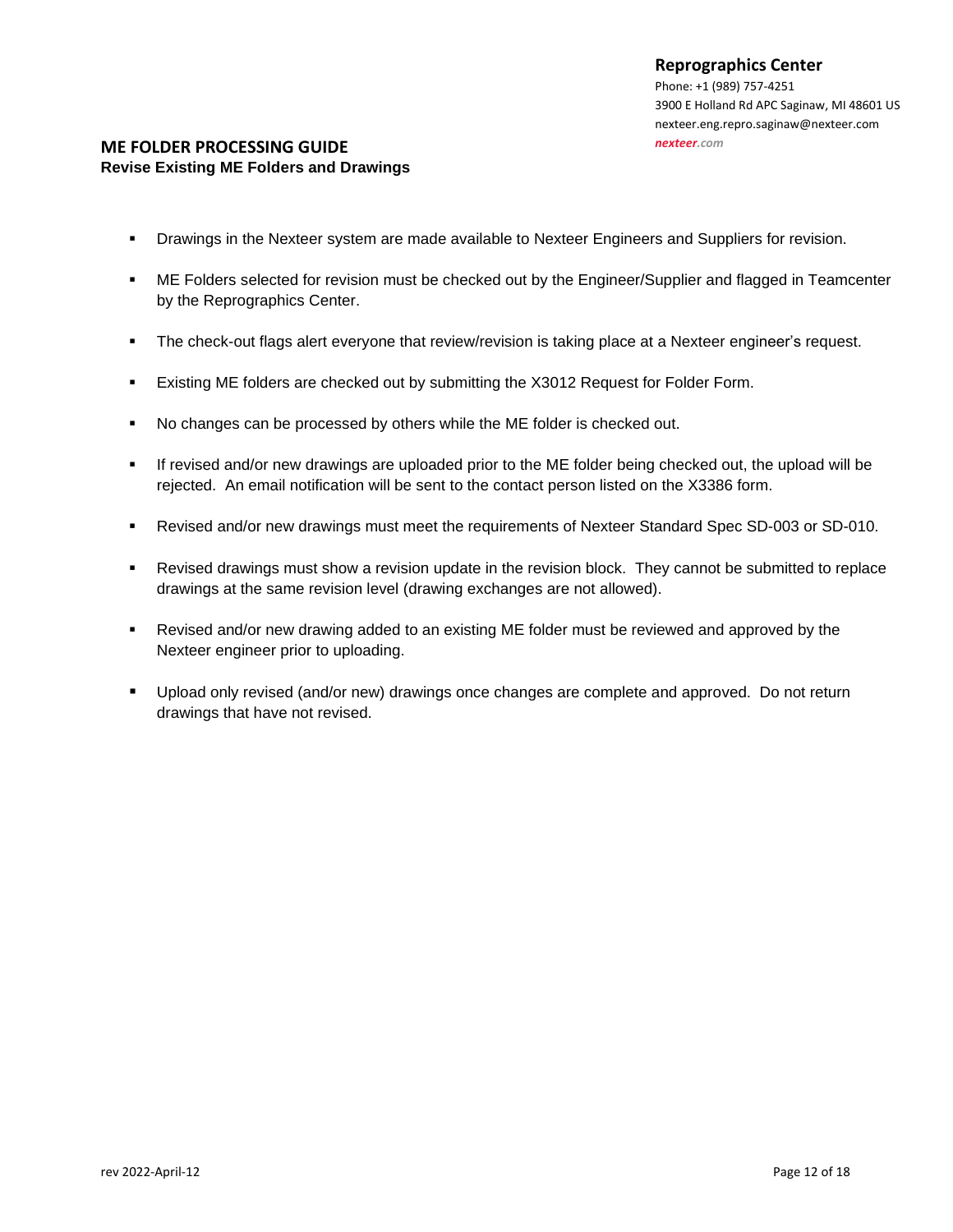## **ME FOLDER PROCESSING GUIDE Revise Existing ME Folders and Drawings**

- **Drawings in the Nexteer system are made available to Nexteer Engineers and Suppliers for revision.**
- **■** ME Folders selected for revision must be checked out by the Engineer/Supplier and flagged in Teamcenter by the Reprographics Center.
- The check-out flags alert everyone that review/revision is taking place at a Nexteer engineer's request.
- **Existing ME folders are checked out by submitting the X3012 Request for Folder Form.**
- No changes can be processed by others while the ME folder is checked out.
- If revised and/or new drawings are uploaded prior to the ME folder being checked out, the upload will be rejected. An email notification will be sent to the contact person listed on the X3386 form.
- Revised and/or new drawings must meet the requirements of Nexteer Standard Spec SD-003 or SD-010.
- Revised drawings must show a revision update in the revision block. They cannot be submitted to replace drawings at the same revision level (drawing exchanges are not allowed).
- **•** Revised and/or new drawing added to an existing ME folder must be reviewed and approved by the Nexteer engineer prior to uploading.
- Upload only revised (and/or new) drawings once changes are complete and approved. Do not return drawings that have not revised.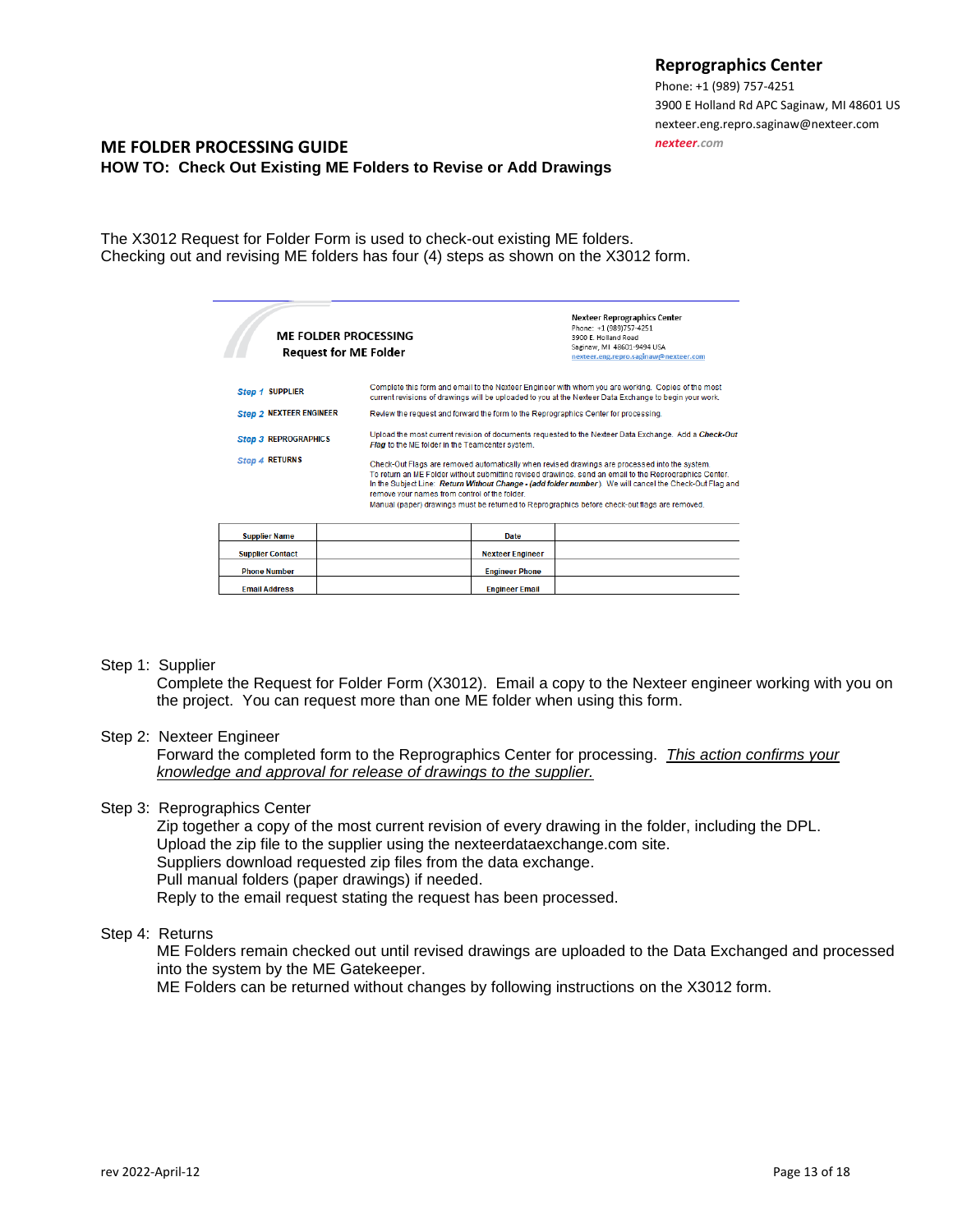Phone: +1 (989) 757-4251 3900 E Holland Rd [APC Saginaw, MI 48601](http://maps.google.com/maps?q=3900+E+Holland+Rd+Saginaw,+MI+48601-9494) US nexteer.eng.repro.saginaw@nexteer.com *[nexteer.com](http://www.nexteer.com/)*

## **ME FOLDER PROCESSING GUIDE HOW TO: Check Out Existing ME Folders to Revise or Add Drawings**

The X3012 Request for Folder Form is used to check-out existing ME folders. Checking out and revising ME folders has four (4) steps as shown on the X3012 form.

| <b>ME FOLDER PROCESSING</b><br><b>Request for ME Folder</b>                                                                                                                                                                                                                                                                                                                                                                                                                                    |                                                 |                         | <b>Nexteer Reprographics Center</b><br>Phone: +1 (989)757-4251<br>3900 E. Holland Road<br>Saginaw, MI 48601-9494 USA<br>nexteer.eng.repro.saginaw@nexteer.com                                                |
|------------------------------------------------------------------------------------------------------------------------------------------------------------------------------------------------------------------------------------------------------------------------------------------------------------------------------------------------------------------------------------------------------------------------------------------------------------------------------------------------|-------------------------------------------------|-------------------------|--------------------------------------------------------------------------------------------------------------------------------------------------------------------------------------------------------------|
| <b>Step 1 SUPPLIER</b>                                                                                                                                                                                                                                                                                                                                                                                                                                                                         |                                                 |                         | Complete this form and email to the Nexteer Engineer with whom you are working. Copies of the most<br>current revisions of drawings will be uploaded to you at the Nexteer Data Exchange to begin your work. |
| <b>Step 2 NEXTEER ENGINEER</b>                                                                                                                                                                                                                                                                                                                                                                                                                                                                 |                                                 |                         | Review the request and forward the form to the Reprographics Center for processing.                                                                                                                          |
| <b>Step 3 REPROGRAPHICS</b>                                                                                                                                                                                                                                                                                                                                                                                                                                                                    | Flag to the ME folder in the Teamcenter system. |                         | Upload the most current revision of documents requested to the Nexteer Data Exchange. Add a Check-Out                                                                                                        |
| <b>Step 4 RETURNS</b><br>Check-Out Flags are removed automatically when revised drawings are processed into the system.<br>To return an ME Folder without submitting revised drawings, send an email to the Reprographics Center.<br>In the Subject Line: Return Without Change - (add folder number). We will cancel the Check-Out Flag and<br>remove your names from control of the folder.<br>Manual (paper) drawings must be returned to Reprographics before check-out flags are removed. |                                                 |                         |                                                                                                                                                                                                              |
| <b>Supplier Name</b>                                                                                                                                                                                                                                                                                                                                                                                                                                                                           |                                                 | Date                    |                                                                                                                                                                                                              |
| <b>Supplier Contact</b>                                                                                                                                                                                                                                                                                                                                                                                                                                                                        |                                                 | <b>Nexteer Engineer</b> |                                                                                                                                                                                                              |
| <b>Phone Number</b>                                                                                                                                                                                                                                                                                                                                                                                                                                                                            |                                                 | <b>Engineer Phone</b>   |                                                                                                                                                                                                              |

#### Step 1: Supplier

Complete the Request for Folder Form (X3012). Email a copy to the Nexteer engineer working with you on the project. You can request more than one ME folder when using this form.

**Engineer Email** 

#### Step 2: Nexteer Engineer

Forward the completed form to the Reprographics Center for processing. *This action confirms your knowledge and approval for release of drawings to the supplier.*

#### Step 3: Reprographics Center

**Phone Number Email Address** 

Zip together a copy of the most current revision of every drawing in the folder, including the DPL. Upload the zip file to the supplier using the nexteerdataexchange.com site. Suppliers download requested zip files from the data exchange. Pull manual folders (paper drawings) if needed. Reply to the email request stating the request has been processed.

# Step 4: Returns

ME Folders remain checked out until revised drawings are uploaded to the Data Exchanged and processed into the system by the ME Gatekeeper.

ME Folders can be returned without changes by following instructions on the X3012 form.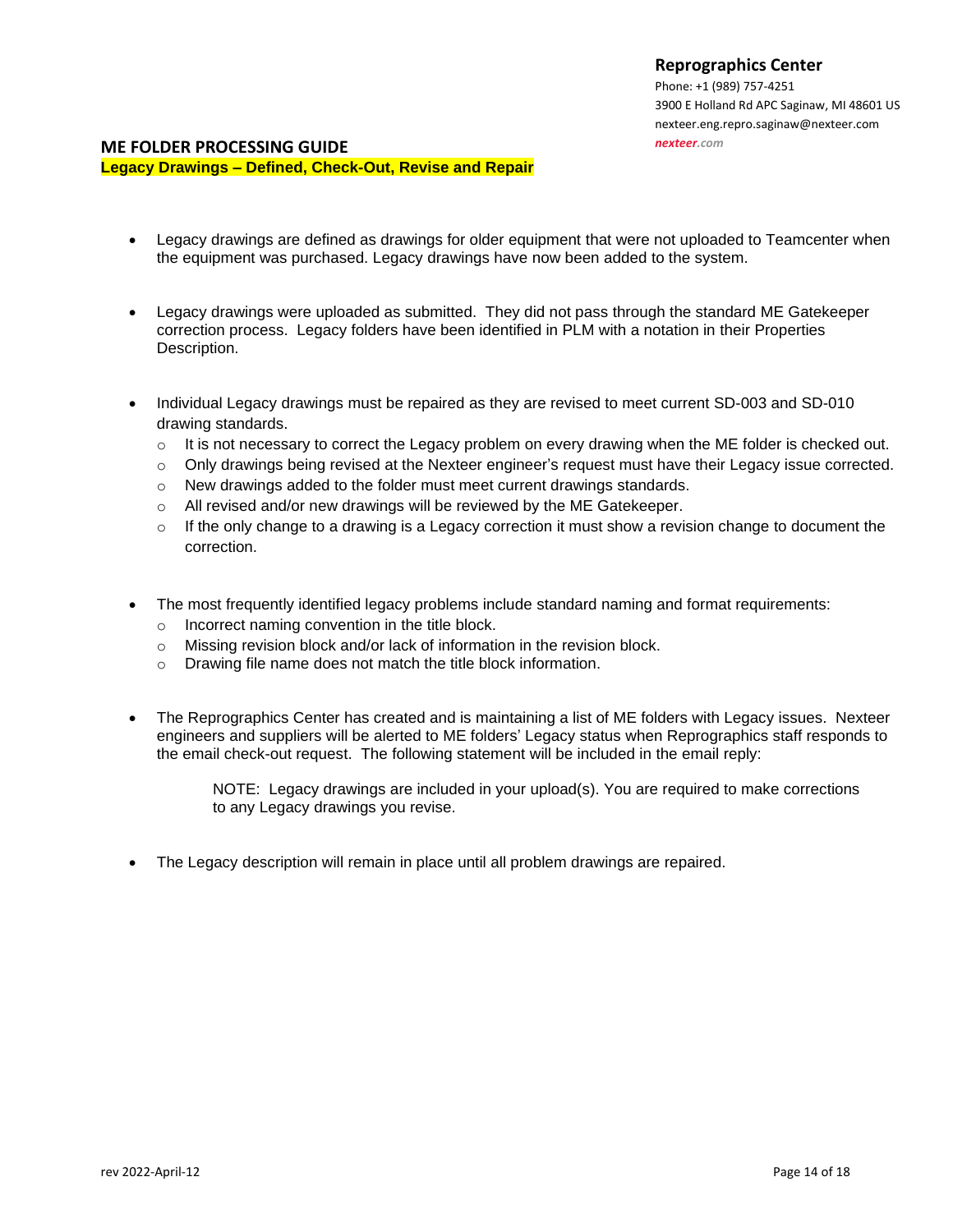Phone: +1 (989) 757-4251 3900 E Holland Rd [APC Saginaw, MI 48601](http://maps.google.com/maps?q=3900+E+Holland+Rd+Saginaw,+MI+48601-9494) US nexteer.eng.repro.saginaw@nexteer.com *[nexteer.com](http://www.nexteer.com/)*

#### **ME FOLDER PROCESSING GUIDE**

**Legacy Drawings – Defined, Check-Out, Revise and Repair**

- Legacy drawings are defined as drawings for older equipment that were not uploaded to Teamcenter when the equipment was purchased. Legacy drawings have now been added to the system.
- Legacy drawings were uploaded as submitted. They did not pass through the standard ME Gatekeeper correction process. Legacy folders have been identified in PLM with a notation in their Properties Description.
- Individual Legacy drawings must be repaired as they are revised to meet current SD-003 and SD-010 drawing standards.
	- $\circ$  It is not necessary to correct the Legacy problem on every drawing when the ME folder is checked out.
	- $\circ$  Only drawings being revised at the Nexteer engineer's request must have their Legacy issue corrected.
	- o New drawings added to the folder must meet current drawings standards.
	- o All revised and/or new drawings will be reviewed by the ME Gatekeeper.
	- $\circ$  If the only change to a drawing is a Legacy correction it must show a revision change to document the correction.
- The most frequently identified legacy problems include standard naming and format requirements:
	- o Incorrect naming convention in the title block.
	- $\circ$  Missing revision block and/or lack of information in the revision block.
	- o Drawing file name does not match the title block information.
- The Reprographics Center has created and is maintaining a list of ME folders with Legacy issues. Nexteer engineers and suppliers will be alerted to ME folders' Legacy status when Reprographics staff responds to the email check-out request. The following statement will be included in the email reply:

NOTE: Legacy drawings are included in your upload(s). You are required to make corrections to any Legacy drawings you revise.

• The Legacy description will remain in place until all problem drawings are repaired.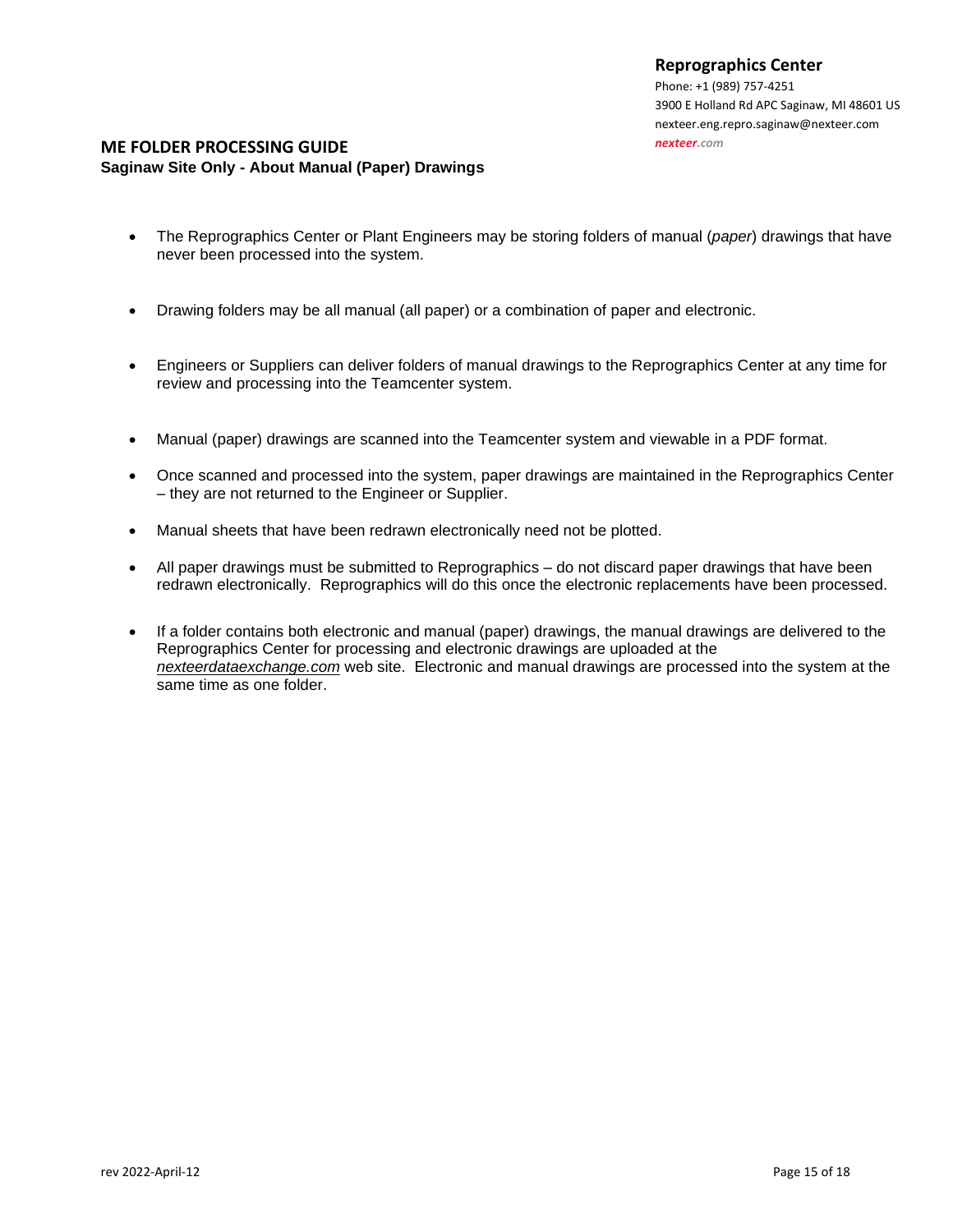Phone: +1 (989) 757-4251 3900 E Holland Rd [APC Saginaw, MI 48601](http://maps.google.com/maps?q=3900+E+Holland+Rd+Saginaw,+MI+48601-9494) US nexteer.eng.repro.saginaw@nexteer.com *[nexteer.com](http://www.nexteer.com/)*

#### **ME FOLDER PROCESSING GUIDE Saginaw Site Only - About Manual (Paper) Drawings**

- The Reprographics Center or Plant Engineers may be storing folders of manual (*paper*) drawings that have never been processed into the system.
- Drawing folders may be all manual (all paper) or a combination of paper and electronic.
- Engineers or Suppliers can deliver folders of manual drawings to the Reprographics Center at any time for review and processing into the Teamcenter system.
- Manual (paper) drawings are scanned into the Teamcenter system and viewable in a PDF format.
- Once scanned and processed into the system, paper drawings are maintained in the Reprographics Center – they are not returned to the Engineer or Supplier.
- Manual sheets that have been redrawn electronically need not be plotted.
- All paper drawings must be submitted to Reprographics do not discard paper drawings that have been redrawn electronically. Reprographics will do this once the electronic replacements have been processed.
- If a folder contains both electronic and manual (paper) drawings, the manual drawings are delivered to the Reprographics Center for processing and electronic drawings are uploaded at the *nexteerdataexchange.com* web site. Electronic and manual drawings are processed into the system at the same time as one folder.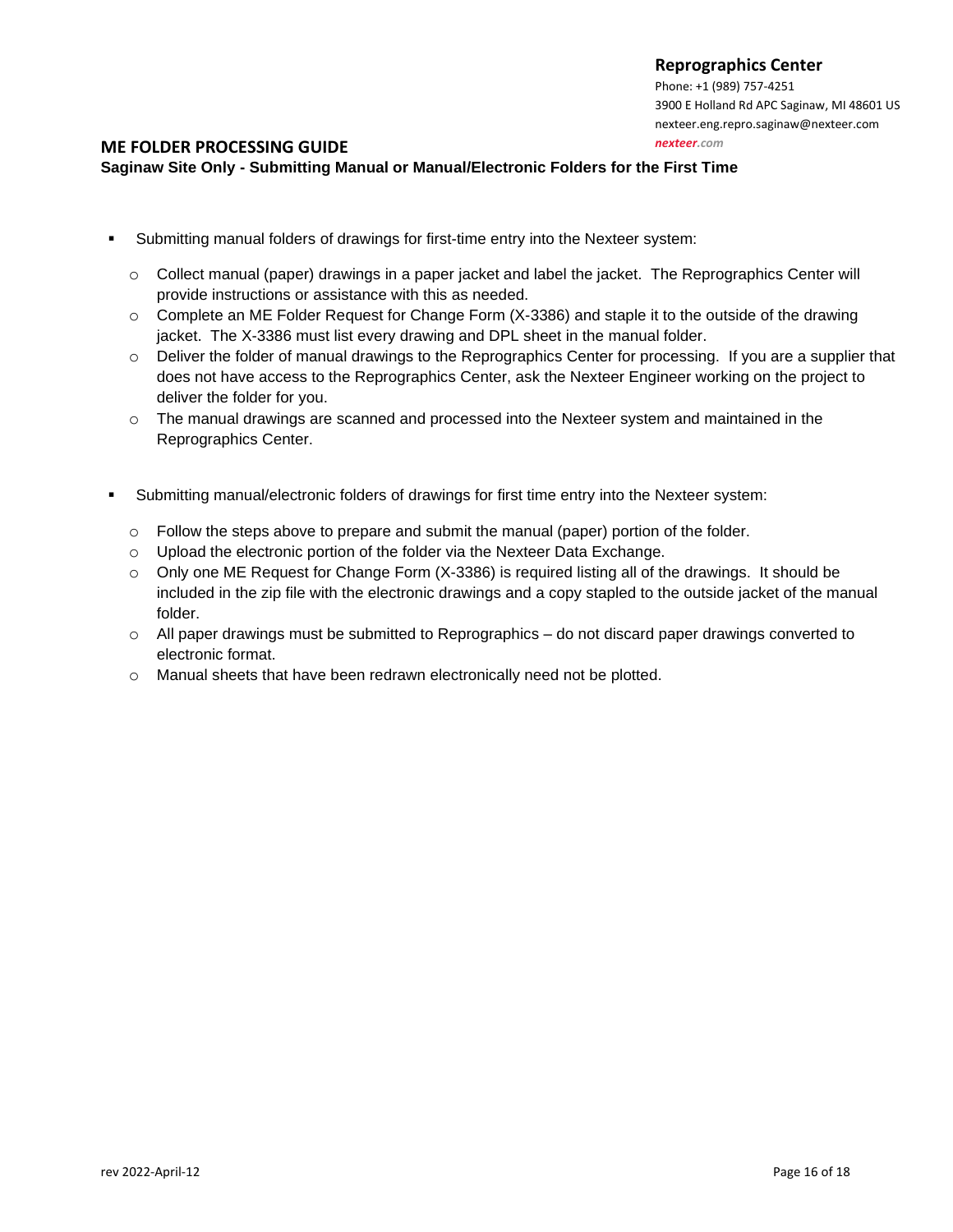Phone: +1 (989) 757-4251 3900 E Holland Rd [APC Saginaw, MI 48601](http://maps.google.com/maps?q=3900+E+Holland+Rd+Saginaw,+MI+48601-9494) US nexteer.eng.repro.saginaw@nexteer.com

#### *[nexteer.com](http://www.nexteer.com/)*

#### **ME FOLDER PROCESSING GUIDE**

## **Saginaw Site Only - Submitting Manual or Manual/Electronic Folders for the First Time**

- Submitting manual folders of drawings for first-time entry into the Nexteer system:
	- o Collect manual (paper) drawings in a paper jacket and label the jacket. The Reprographics Center will provide instructions or assistance with this as needed.
	- $\circ$  Complete an ME Folder Request for Change Form (X-3386) and staple it to the outside of the drawing jacket. The X-3386 must list every drawing and DPL sheet in the manual folder.
	- $\circ$  Deliver the folder of manual drawings to the Reprographics Center for processing. If you are a supplier that does not have access to the Reprographics Center, ask the Nexteer Engineer working on the project to deliver the folder for you.
	- $\circ$  The manual drawings are scanned and processed into the Nexteer system and maintained in the Reprographics Center.
- Submitting manual/electronic folders of drawings for first time entry into the Nexteer system:
	- o Follow the steps above to prepare and submit the manual (paper) portion of the folder.
	- o Upload the electronic portion of the folder via the Nexteer Data Exchange.
	- $\circ$  Only one ME Request for Change Form (X-3386) is required listing all of the drawings. It should be included in the zip file with the electronic drawings and a copy stapled to the outside jacket of the manual folder.
	- $\circ$  All paper drawings must be submitted to Reprographics do not discard paper drawings converted to electronic format.
	- o Manual sheets that have been redrawn electronically need not be plotted.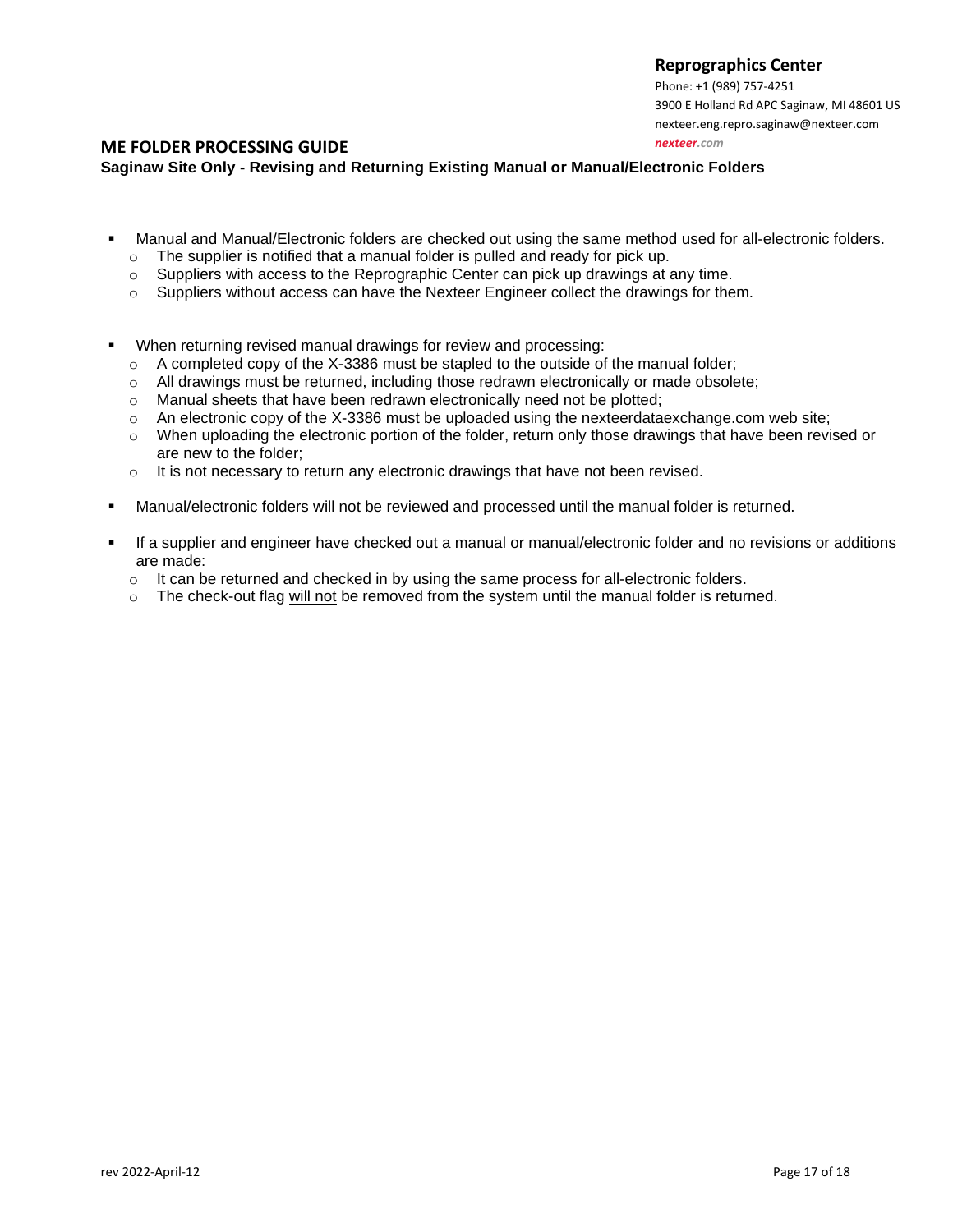Phone: +1 (989) 757-4251 3900 E Holland Rd [APC Saginaw, MI 48601](http://maps.google.com/maps?q=3900+E+Holland+Rd+Saginaw,+MI+48601-9494) US nexteer.eng.repro.saginaw@nexteer.com

*[nexteer.com](http://www.nexteer.com/)*

#### **ME FOLDER PROCESSING GUIDE**

**Saginaw Site Only - Revising and Returning Existing Manual or Manual/Electronic Folders**

- Manual and Manual/Electronic folders are checked out using the same method used for all-electronic folders.
	- o The supplier is notified that a manual folder is pulled and ready for pick up.
	- $\circ$  Suppliers with access to the Reprographic Center can pick up drawings at any time.
	- $\circ$  Suppliers without access can have the Nexteer Engineer collect the drawings for them.
- When returning revised manual drawings for review and processing:
	- $\circ$  A completed copy of the X-3386 must be stapled to the outside of the manual folder;
	- $\circ$  All drawings must be returned, including those redrawn electronically or made obsolete;
	- o Manual sheets that have been redrawn electronically need not be plotted;
	- o An electronic copy of the X-3386 must be uploaded using the nexteerdataexchange.com web site;
	- o When uploading the electronic portion of the folder, return only those drawings that have been revised or are new to the folder;
	- $\circ$  It is not necessary to return any electronic drawings that have not been revised.
- Manual/electronic folders will not be reviewed and processed until the manual folder is returned.
- If a supplier and engineer have checked out a manual or manual/electronic folder and no revisions or additions are made:
	- $\circ$  It can be returned and checked in by using the same process for all-electronic folders.
	- $\circ$  The check-out flag will not be removed from the system until the manual folder is returned.